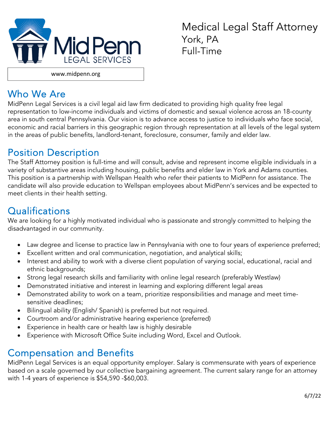

Medical Legal Staff Attorney York, PA Full-Time

www.midpenn.org

#### Who We Are

MidPenn Legal Services is a civil legal aid law firm dedicated to providing high quality free legal representation to low-income individuals and victims of domestic and sexual violence across an 18-county area in south central Pennsylvania. Our vision is to advance access to justice to individuals who face social, economic and racial barriers in this geographic region through representation at all levels of the legal system in the areas of public benefits, landlord-tenant, foreclosure, consumer, family and elder law.

### Position Description

The Staff Attorney position is full-time and will consult, advise and represent income eligible individuals in a variety of substantive areas including housing, public benefits and elder law in York and Adams counties. This position is a partnership with Wellspan Health who refer their patients to MidPenn for assistance. The candidate will also provide education to Wellspan employees about MidPenn's services and be expected to meet clients in their health setting.

# Qualifications

We are looking for a highly motivated individual who is passionate and strongly committed to helping the disadvantaged in our community.

- Law degree and license to practice law in Pennsylvania with one to four years of experience preferred;
- Excellent written and oral communication, negotiation, and analytical skills;
- Interest and ability to work with a diverse client population of varying social, educational, racial and ethnic backgrounds;
- Strong legal research skills and familiarity with online legal research (preferably Westlaw)
- Demonstrated initiative and interest in learning and exploring different legal areas
- Demonstrated ability to work on a team, prioritize responsibilities and manage and meet timesensitive deadlines;
- Bilingual ability (English/ Spanish) is preferred but not required.
- Courtroom and/or administrative hearing experience (preferred)
- Experience in health care or health law is highly desirable
- Experience with Microsoft Office Suite including Word, Excel and Outlook.

#### Compensation and Benefits

MidPenn Legal Services is an equal opportunity employer. Salary is commensurate with years of experience based on a scale governed by our collective bargaining agreement. The current salary range for an attorney with 1-4 years of experience is \$54,590 -\$60,003.